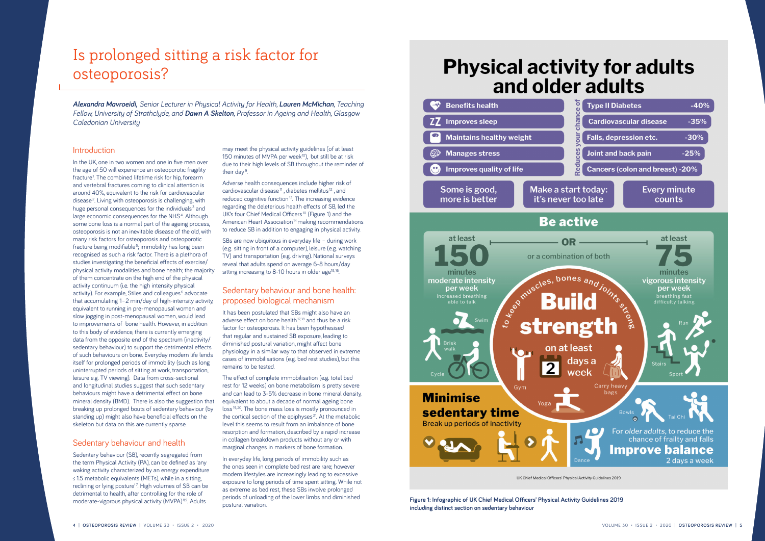In the UK, one in two women and one in five men over the age of 50 will experience an osteoporotic fragility fracture<sup>1</sup>. The combined lifetime risk for hip, forearm and vertebral fractures coming to clinical attention is around 40%, equivalent to the risk for cardiovascular disease<sup>2</sup>. Living with osteoporosis is challenging, with huge personal consequences for the individuals<sup>3</sup> and large economic consequences for the NHS<sup>4</sup>. Although some bone loss is a normal part of the ageing process. osteoporosis is not an inevitable disease of the old, with many risk factors for osteoporosis and osteoporotic fracture being modifiable<sup>5</sup>; immobility has long been recognised as such a risk factor. There is a plethora of studies investigating the beneficial effects of exercise/ physical activity modalities and bone health; the majority of them concentrate on the high end of the physical activity continuum (i.e. the high intensity physical activity). For example, Stiles and colleagues<sup>6</sup> advocate that accumulating 1–2 min/day of high-intensity activity, equivalent to running in pre-menopausal women and slow jogging in post-menopausal women, would lead to improvements of bone health. However, in addition to this body of evidence, there is currently emerging data from the opposite end of the spectrum (inactivity/ sedentary behaviour) to support the detrimental effects of such behaviours on bone. Everyday modern life lends itself for prolonged periods of immobility (such as long uninterrupted periods of sitting at work, transportation, leisure e.g. TV viewing). Data from cross-sectional and longitudinal studies suggest that such sedentary behaviours might have a detrimental effect on bone mineral density (BMD). There is also the suggestion that breaking up prolonged bouts of sedentary behaviour (by standing up) might also have beneficial effects on the skeleton but data on this are currently sparse.

Sedentary behaviour (SB), recently segregated from the term Physical Activity (PA), can be defined as 'any waking activity characterized by an energy expenditure ≤ 1.5 metabolic equivalents (METs), while in a sitting, reclining or lying posture'? High volumes of SB can be detrimental to health, after controlling for the role of moderate-vigorous physical activity (MVPA)<sup>8,9</sup>. Adults

may meet the physical activity guidelines (of at least 150 minutes of MVPA per week<sup>10</sup>), but still be at risk due to their high levels of SB throughout the reminder of their day<sup>9</sup>.

SBs are now ubiquitous in everyday life – during work (e.g. sitting in front of a computer), leisure (e.g. watching TV) and transportation (e.g. driving). National surveys reveal that adults spend on average 6-8 hours/day sitting increasing to 8-10 hours in older age $15,16$ .

#### Sedentary behaviour and health

Adverse health consequences include higher risk of cardiovascular disease<sup>11</sup>, diabetes mellitus<sup>12</sup>, and reduced cognitive function<sup>13</sup>. The increasing evidence regarding the deleterious health effects of SB, led the UK's four Chief Medical Officers<sup>10</sup> (Figure 1) and the American Heart Association<sup>14</sup> making recommendations to reduce SB in addition to engaging in physical activity.

### Sedentary behaviour and bone health: proposed biological mechanism

It has been postulated that SBs might also have an adverse effect on bone health<sup>17,18</sup> and thus be a risk factor for osteoporosis. It has been hypothesised that regular and sustained SB exposure, leading to diminished postural variation, might affect bone physiology in a similar way to that observed in extreme cases of immobilisations (e.g. bed rest studies), but this remains to be tested.

The effect of complete immobilisation (e.g. total bed rest for 12 weeks) on bone metabolism is pretty severe and can lead to 3-5% decrease in bone mineral density, equivalent to about a decade of normal ageing bone loss<sup>19, 20</sup>. The bone mass loss is mostly pronounced in the cortical section of the epiphyses<sup>21</sup>. At the metabolic level this seems to result from an imbalance of bone resorption and formation, described by a rapid increase in collagen breakdown products without any or with marginal changes in markers of bone formation.

In everyday life, long periods of immobility such as the ones seen in complete bed rest are rare; however modern lifestyles are increasingly leading to excessive exposure to long periods of time spent sitting. While not as extreme as bed rest, these SBs involve prolonged periods of unloading of the lower limbs and diminished postural variation.



# Is prolonged sitting a risk factor for osteoporosis?

*Alexandra Mavroeidi, Senior Lecturer in Physical Activity for Health, Lauren McMichan, Teaching Fellow, University of Strathclyde, and Dawn A Skelton, Professor in Ageing and Health, Glasgow Caledonian University*

#### **Introduction**

**Figure 1: Infographic of UK Chief Medical Officers' Physical Activity Guidelines 2019 including distinct section on sedentary behaviour**